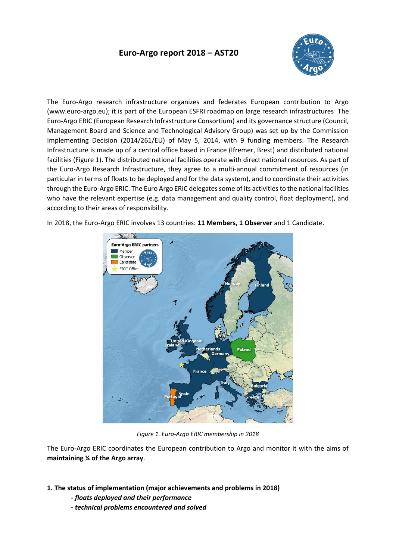# **Euro-Argo report 2018 – AST20**



The Euro-Argo research infrastructure organizes and federates European contribution to Argo (www.euro-argo.eu); it is part of the European ESFRI roadmap on large research infrastructures The Euro-Argo ERIC (European Research Infrastructure Consortium) and its governance structure (Council, Management Board and Science and Technological Advisory Group) was set up by the Commission Implementing Decision (2014/261/EU) of May 5, 2014, with 9 funding members. The Research Infrastructure is made up of a central office based in France (Ifremer, Brest) and distributed national facilities (Figure 1). The distributed national facilities operate with direct national resources. As part of the Euro-Argo Research Infrastructure, they agree to a multi-annual commitment of resources (in particular in terms of floats to be deployed and for the data system), and to coordinate their activities through the Euro-Argo ERIC. The Euro Argo ERIC delegates some of its activities to the national facilities who have the relevant expertise (e.g. data management and quality control, float deployment), and according to their areas of responsibility.

In 2018, the Euro-Argo ERIC involves 13 countries: **11 Members, 1 Observer** and 1 Candidate.



*Figure 1. Euro-Argo ERIC membership in 2018*

The Euro-Argo ERIC coordinates the European contribution to Argo and monitor it with the aims of **maintaining ¼ of the Argo array**.

- **1. The status of implementation (major achievements and problems in 2018)**
	- **-** *floats deployed and their performance*
	- *- technical problems encountered and solved*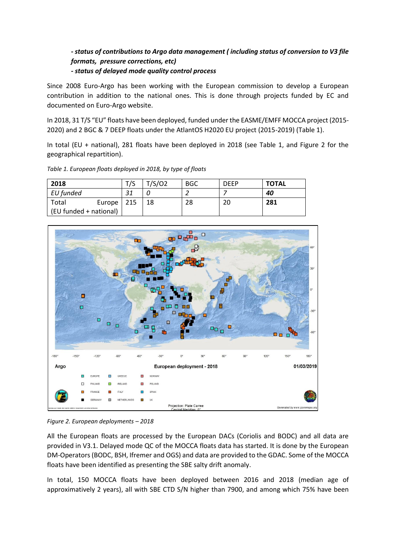## *- status of contributions to Argo data management ( including status of conversion to V3 file formats, pressure corrections, etc) - status of delayed mode quality control process*

Since 2008 Euro-Argo has been working with the European commission to develop a European contribution in addition to the national ones. This is done through projects funded by EC and documented on Euro-Argo website.

In 2018, 31 T/S "EU" floats have been deployed, funded under the EASME/EMFF MOCCA project (2015- 2020) and 2 BGC & 7 DEEP floats under the AtlantOS H2020 EU project (2015-2019) (Table 1).

In total (EU + national), 281 floats have been deployed in 2018 (see Table 1, and Figure 2 for the geographical repartition).

| 2018                   |        | T/S | T/S/O2 | <b>BGC</b> | <b>DEEP</b> | <b>TOTAL</b> |
|------------------------|--------|-----|--------|------------|-------------|--------------|
| EU funded              |        | つィ  |        |            |             | 40           |
| Total                  | Europe | 215 | 18     | 28         | 20          | 281          |
| (EU funded + national) |        |     |        |            |             |              |

*Table 1. European floats deployed in 2018, by type of floats*



*Figure 2. European deployments – 2018*

All the European floats are processed by the European DACs (Coriolis and BODC) and all data are provided in V3.1. Delayed mode QC of the MOCCA floats data has started. It is done by the European DM-Operators (BODC, BSH, Ifremer and OGS) and data are provided to the GDAC. Some of the MOCCA floats have been identified as presenting the SBE salty drift anomaly.

In total, 150 MOCCA floats have been deployed between 2016 and 2018 (median age of approximatively 2 years), all with SBE CTD S/N higher than 7900, and among which 75% have been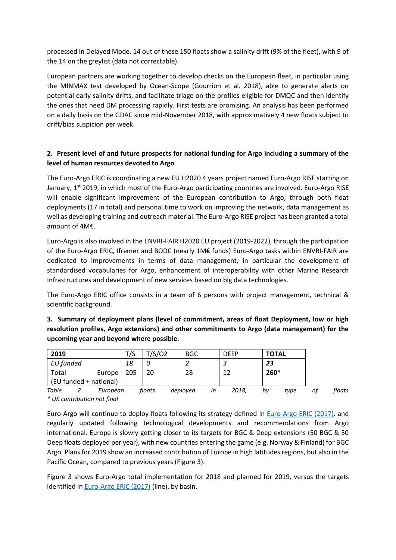processed in Delayed Mode. 14 out of these 150 floats show a salinity drift (9% of the fleet), with 9 of the 14 on the greylist (data not correctable).

European partners are working together to develop checks on the European fleet, in particular using the MINMAX test developed by Ocean-Scope (Gourrion et al. 2018), able to generate alerts on potential early salinity drifts, and facilitate triage on the profiles eligible for DMQC and then identify the ones that need DM processing rapidly. First tests are promising. An analysis has been performed on a daily basis on the GDAC since mid-November 2018, with approximatively 4 new floats subject to drift/bias suspicion per week.

#### **2. Present level of and future prospects for national funding for Argo including a summary of the level of human resources devoted to Argo**.

The Euro-Argo ERIC is coordinating a new EU H2020 4 years project named Euro-Argo RISE starting on January,  $1^{st}$  2019, in which most of the Euro-Argo participating countries are involved. Euro-Argo RISE will enable significant improvement of the European contribution to Argo, through both float deployments (17 in total) and personal time to work on improving the network, data management as well as developing training and outreach material. The Euro-Argo RISE project has been granted a total amount of 4M€.

Euro-Argo is also involved in the ENVRI-FAIR H2020 EU project (2019-2022), through the participation of the Euro-Argo ERIC, Ifremer and BODC (nearly 1M€ funds) Euro-Argo tasks within ENVRI-FAIR are dedicated to improvements in terms of data management, in particular the development of standardised vocabularies for Argo, enhancement of interoperability with other Marine Research Infrastructures and development of new services based on big data technologies.

The Euro-Argo ERIC office consists in a team of 6 persons with project management, technical & scientific background.

**3. Summary of deployment plans (level of commitment, areas of float Deployment, low or high resolution profiles, Argo extensions) and other commitments to Argo (data management) for the upcoming year and beyond where possible**.

| 2019      |                        | T/S | T/S/02 | <b>BGC</b> |    | <b>DEEP</b> | <b>TOTAL</b> |      |    |        |
|-----------|------------------------|-----|--------|------------|----|-------------|--------------|------|----|--------|
| EU funded |                        | 18  |        |            |    |             | 23           |      |    |        |
| Total     | Europe                 | 205 | 20     | 28         |    | 12          | $260*$       |      |    |        |
|           | (EU funded + national) |     |        |            |    |             |              |      |    |        |
| Table     | European               |     | floats | deployed   | in | 2018,       | by           | type | οt | floats |

*\* UK contribution not final*

Euro-Argo will continue to deploy floats following its strategy defined in [Euro-Argo ERIC \(2017\)](https://doi.org/10.13155/48526)*,* and regularly updated following technological developments and recommendations from Argo international. Europe is slowly getting closer to its targets for BGC & Deep extensions (50 BGC & 50 Deep floats deployed per year), with new countries entering the game (e.g. Norway & Finland) for BGC Argo. Plans for 2019 show an increased contribution of Europe in high latitudes regions, but also in the Pacific Ocean, compared to previous years (Figure 3).

Figure 3 shows Euro-Argo total implementation for 2018 and planned for 2019, versus the targets identified in [Euro-Argo ERIC \(2017\)](https://doi.org/10.13155/48526) (line), by basin.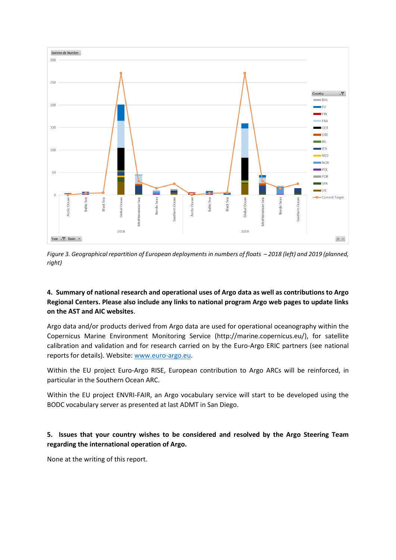

*Figure 3. Geographical repartition of European deployments in numbers of floats – 2018 (left) and 2019 (planned, right)*

### **4. Summary of national research and operational uses of Argo data as well as contributions to Argo Regional Centers. Please also include any links to national program Argo web pages to update links on the AST and AIC websites**.

Argo data and/or products derived from Argo data are used for operational oceanography within the Copernicus Marine Environment Monitoring Service (http://marine.copernicus.eu/), for satellite calibration and validation and for research carried on by the Euro-Argo ERIC partners (see national reports for details). Website: [www.euro-argo.eu.](file:///C:/Users/spouliqu/AppData/Local/Temp/www.euro-argo.eu)

Within the EU project Euro-Argo RISE, European contribution to Argo ARCs will be reinforced, in particular in the Southern Ocean ARC.

Within the EU project ENVRI-FAIR, an Argo vocabulary service will start to be developed using the BODC vocabulary server as presented at last ADMT in San Diego.

### **5. Issues that your country wishes to be considered and resolved by the Argo Steering Team regarding the international operation of Argo.**

None at the writing of this report.